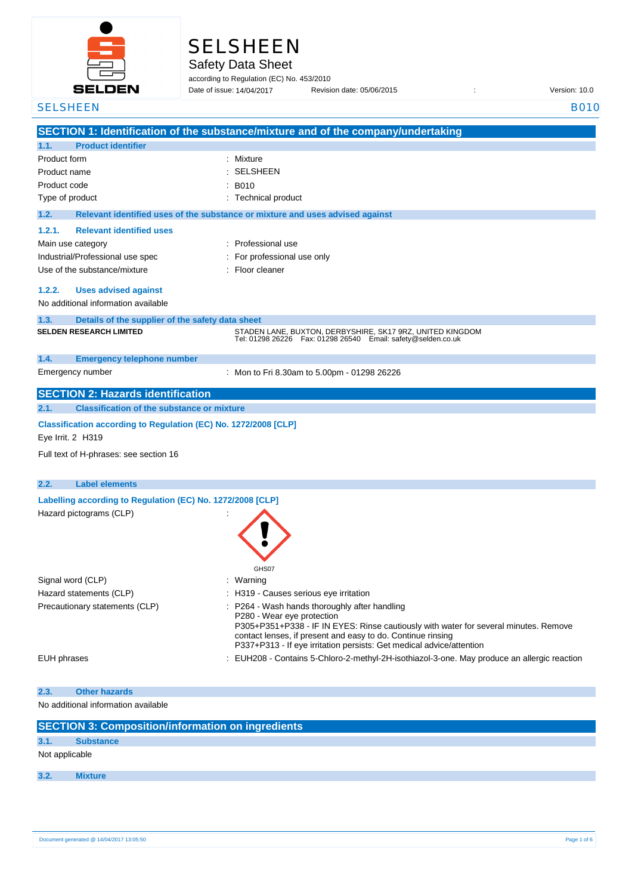

|  | <b>SELSHEEN</b> |  |  |
|--|-----------------|--|--|
|  |                 |  |  |

Safety Data Sheet

according to Regulation (EC) No. 453/2010 Date of issue: Revision date: 05/06/2015 : Version: 10.0 Date of issue: 14/04/2017

| <b>SELSHEEN</b>                                                                       | <b>B010</b>                                                                                                                                                                                                                                               |
|---------------------------------------------------------------------------------------|-----------------------------------------------------------------------------------------------------------------------------------------------------------------------------------------------------------------------------------------------------------|
|                                                                                       | SECTION 1: Identification of the substance/mixture and of the company/undertaking                                                                                                                                                                         |
| <b>Product identifier</b><br>1.1.                                                     |                                                                                                                                                                                                                                                           |
| Product form                                                                          | : Mixture                                                                                                                                                                                                                                                 |
| Product name                                                                          | <b>SELSHEEN</b>                                                                                                                                                                                                                                           |
| Product code                                                                          | <b>B010</b>                                                                                                                                                                                                                                               |
| Type of product                                                                       | : Technical product                                                                                                                                                                                                                                       |
| 1.2.                                                                                  | Relevant identified uses of the substance or mixture and uses advised against                                                                                                                                                                             |
| <b>Relevant identified uses</b><br>1.2.1.                                             |                                                                                                                                                                                                                                                           |
| Main use category                                                                     | : Professional use                                                                                                                                                                                                                                        |
| Industrial/Professional use spec                                                      | For professional use only                                                                                                                                                                                                                                 |
| Use of the substance/mixture                                                          | Floor cleaner                                                                                                                                                                                                                                             |
| 1.2.2.<br><b>Uses advised against</b>                                                 |                                                                                                                                                                                                                                                           |
| No additional information available                                                   |                                                                                                                                                                                                                                                           |
| 1.3.                                                                                  |                                                                                                                                                                                                                                                           |
| Details of the supplier of the safety data sheet<br><b>SELDEN RESEARCH LIMITED</b>    | STADEN LANE, BUXTON, DERBYSHIRE, SK17 9RZ, UNITED KINGDOM                                                                                                                                                                                                 |
|                                                                                       | Tel: 01298 26226    Fax: 01298 26540    Email: safety@selden.co.uk                                                                                                                                                                                        |
| 1.4.<br><b>Emergency telephone number</b>                                             |                                                                                                                                                                                                                                                           |
| Emergency number                                                                      | : Mon to Fri 8.30am to 5.00pm - 01298 26226                                                                                                                                                                                                               |
| <b>SECTION 2: Hazards identification</b>                                              |                                                                                                                                                                                                                                                           |
| <b>Classification of the substance or mixture</b><br>2.1.                             |                                                                                                                                                                                                                                                           |
| Classification according to Regulation (EC) No. 1272/2008 [CLP]<br>Eye Irrit. 2 H319  |                                                                                                                                                                                                                                                           |
| Full text of H-phrases: see section 16                                                |                                                                                                                                                                                                                                                           |
| 2.2.<br><b>Label elements</b>                                                         |                                                                                                                                                                                                                                                           |
|                                                                                       |                                                                                                                                                                                                                                                           |
| Labelling according to Regulation (EC) No. 1272/2008 [CLP]<br>Hazard pictograms (CLP) |                                                                                                                                                                                                                                                           |
|                                                                                       | GHS07                                                                                                                                                                                                                                                     |
| Signal word (CLP)                                                                     | Warning                                                                                                                                                                                                                                                   |
| Hazard statements (CLP)                                                               | H319 - Causes serious eye irritation                                                                                                                                                                                                                      |
| Precautionary statements (CLP)                                                        | P264 - Wash hands thoroughly after handling                                                                                                                                                                                                               |
|                                                                                       | P280 - Wear eye protection<br>P305+P351+P338 - IF IN EYES: Rinse cautiously with water for several minutes. Remove<br>contact lenses, if present and easy to do. Continue rinsing<br>P337+P313 - If eye irritation persists: Get medical advice/attention |
| <b>EUH</b> phrases                                                                    | EUH208 - Contains 5-Chloro-2-methyl-2H-isothiazol-3-one. May produce an allergic reaction                                                                                                                                                                 |
| <b>Other hazards</b><br>2.3.                                                          |                                                                                                                                                                                                                                                           |
| No additional information available                                                   |                                                                                                                                                                                                                                                           |
| <b>SECTION 3: Composition/information on ingredients</b>                              |                                                                                                                                                                                                                                                           |
| 3.1.<br><b>Substance</b>                                                              |                                                                                                                                                                                                                                                           |
|                                                                                       |                                                                                                                                                                                                                                                           |

Not applicable

**3.2. Mixture**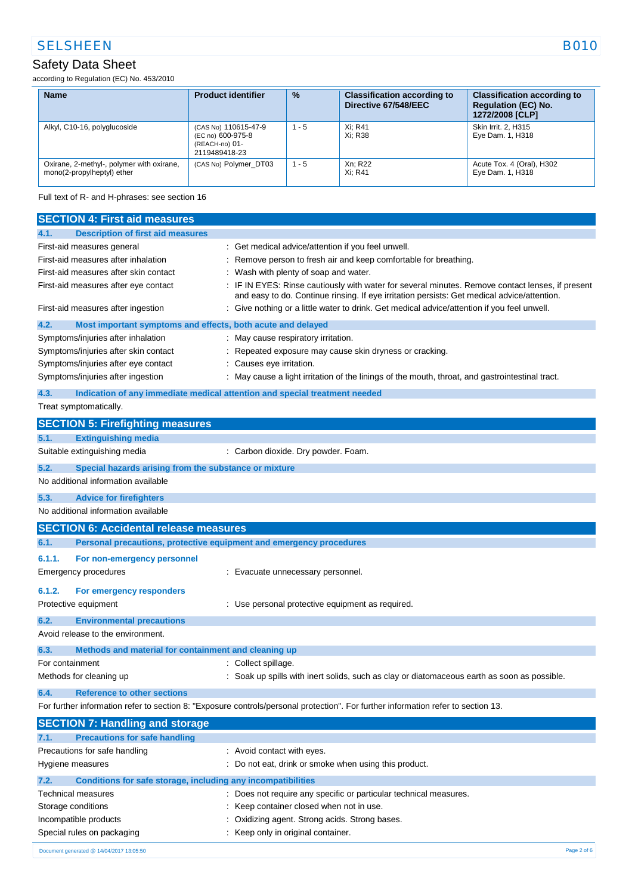# SELSHEEN B010

### Safety Data Sheet

according to Regulation (EC) No. 453/2010

| <b>Name</b>                                                             | <b>Product identifier</b>                                                    | $\frac{9}{6}$ | <b>Classification according to</b><br>Directive 67/548/EEC | <b>Classification according to</b><br><b>Regulation (EC) No.</b><br>1272/2008 [CLP] |
|-------------------------------------------------------------------------|------------------------------------------------------------------------------|---------------|------------------------------------------------------------|-------------------------------------------------------------------------------------|
| Alkyl, C10-16, polyglucoside                                            | (CAS No) 110615-47-9<br>(EC no) 600-975-8<br>(REACH-no) 01-<br>2119489418-23 | $1 - 5$       | Xi: R41<br>Xi: R38                                         | Skin Irrit. 2. H315<br>Eye Dam. 1, H318                                             |
| Oxirane, 2-methyl-, polymer with oxirane,<br>mono(2-propylheptyl) ether | (CAS No) Polymer DT03                                                        | $1 - 5$       | Xn: R22<br>Xi: R41                                         | Acute Tox. 4 (Oral), H302<br>Eye Dam. 1, H318                                       |

Full text of R- and H-phrases: see section 16

| <b>SECTION 4: First aid measures</b>                |                                                                                                                                                                                               |
|-----------------------------------------------------|-----------------------------------------------------------------------------------------------------------------------------------------------------------------------------------------------|
| <b>Description of first aid measures</b><br>4.1.    |                                                                                                                                                                                               |
| First-aid measures general                          | : Get medical advice/attention if you feel unwell.                                                                                                                                            |
| First-aid measures after inhalation                 | Remove person to fresh air and keep comfortable for breathing.                                                                                                                                |
| First-aid measures after skin contact               | Wash with plenty of soap and water.                                                                                                                                                           |
| First-aid measures after eye contact                | IF IN EYES: Rinse cautiously with water for several minutes. Remove contact lenses, if present<br>and easy to do. Continue rinsing. If eye irritation persists: Get medical advice/attention. |
| First-aid measures after ingestion                  | : Give nothing or a little water to drink. Get medical advice/attention if you feel unwell.                                                                                                   |
| 4.2.                                                | Most important symptoms and effects, both acute and delayed                                                                                                                                   |
| Symptoms/injuries after inhalation                  | : May cause respiratory irritation.                                                                                                                                                           |
| Symptoms/injuries after skin contact                | Repeated exposure may cause skin dryness or cracking.                                                                                                                                         |
| Symptoms/injuries after eye contact                 | : Causes eye irritation.                                                                                                                                                                      |
| Symptoms/injuries after ingestion                   | : May cause a light irritation of the linings of the mouth, throat, and gastrointestinal tract.                                                                                               |
| 4.3.                                                | Indication of any immediate medical attention and special treatment needed                                                                                                                    |
| Treat symptomatically.                              |                                                                                                                                                                                               |
| <b>SECTION 5: Firefighting measures</b>             |                                                                                                                                                                                               |
| 5.1.<br><b>Extinguishing media</b>                  |                                                                                                                                                                                               |
| Suitable extinguishing media                        | : Carbon dioxide. Dry powder. Foam.                                                                                                                                                           |
| 5.2.                                                | Special hazards arising from the substance or mixture                                                                                                                                         |
| No additional information available                 |                                                                                                                                                                                               |
| 5.3.<br><b>Advice for firefighters</b>              |                                                                                                                                                                                               |
| No additional information available                 |                                                                                                                                                                                               |
| <b>SECTION 6: Accidental release measures</b>       |                                                                                                                                                                                               |
|                                                     |                                                                                                                                                                                               |
| 6.1.                                                | Personal precautions, protective equipment and emergency procedures                                                                                                                           |
| 6.1.1.<br>For non-emergency personnel               |                                                                                                                                                                                               |
| Emergency procedures                                | : Evacuate unnecessary personnel.                                                                                                                                                             |
|                                                     |                                                                                                                                                                                               |
| 6.1.2.<br>For emergency responders                  |                                                                                                                                                                                               |
| Protective equipment                                | : Use personal protective equipment as required.                                                                                                                                              |
| 6.2.<br><b>Environmental precautions</b>            |                                                                                                                                                                                               |
| Avoid release to the environment.                   |                                                                                                                                                                                               |
| 6.3.                                                | Methods and material for containment and cleaning up                                                                                                                                          |
| For containment                                     | : Collect spillage.                                                                                                                                                                           |
| Methods for cleaning up                             | : Soak up spills with inert solids, such as clay or diatomaceous earth as soon as possible.                                                                                                   |
| <b>Reference to other sections</b><br>6.4.          |                                                                                                                                                                                               |
|                                                     | For further information refer to section 8: "Exposure controls/personal protection". For further information refer to section 13.                                                             |
| <b>SECTION 7: Handling and storage</b>              |                                                                                                                                                                                               |
| <b>Precautions for safe handling</b><br>7.1.        |                                                                                                                                                                                               |
| Precautions for safe handling                       | : Avoid contact with eyes.                                                                                                                                                                    |
| Hygiene measures                                    | : Do not eat, drink or smoke when using this product.                                                                                                                                         |
| 7.2.                                                | Conditions for safe storage, including any incompatibilities                                                                                                                                  |
| Technical measures                                  | : Does not require any specific or particular technical measures.                                                                                                                             |
| Storage conditions                                  | Keep container closed when not in use.                                                                                                                                                        |
| Incompatible products<br>Special rules on packaging | Oxidizing agent. Strong acids. Strong bases.<br>Keep only in original container.                                                                                                              |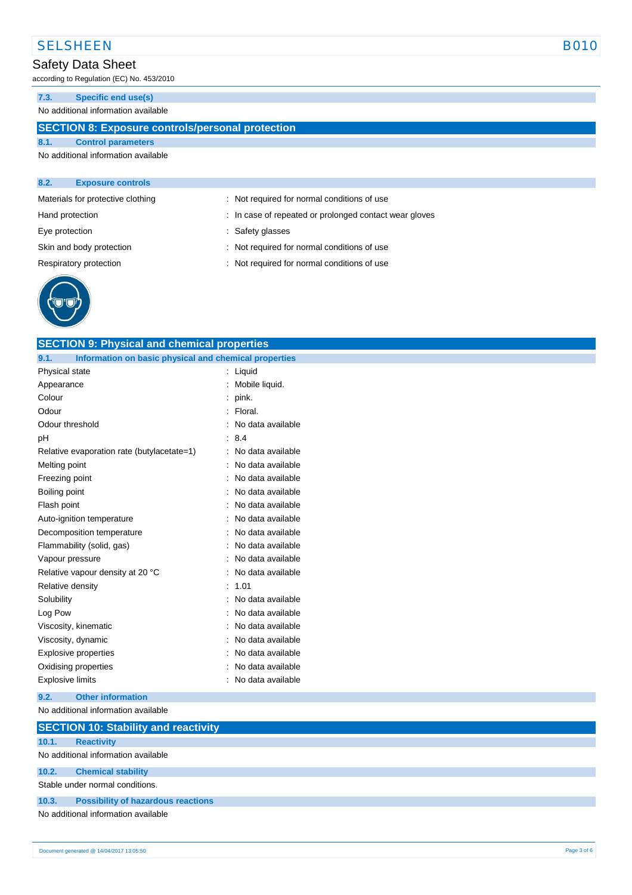# SELSHEEN B010

# Safety Data Sheet

according to Regulation (EC) No. 453/2010

### **7.3. Specific end use(s)**

No additional information available

### **SECTION 8: Exposure controls/personal protection**

**SECTION 9: Physical and chemical properties**

#### **8.1. Control parameters** No additional information available

| 8.2.           | <b>Exposure controls</b>          |                                                        |  |
|----------------|-----------------------------------|--------------------------------------------------------|--|
|                | Materials for protective clothing | : Not required for normal conditions of use            |  |
|                | Hand protection                   | : In case of repeated or prolonged contact wear gloves |  |
| Eye protection |                                   | Safety glasses                                         |  |
|                | Skin and body protection          | : Not required for normal conditions of use            |  |
|                | Respiratory protection            | : Not required for normal conditions of use            |  |
|                |                                   |                                                        |  |



| 9.1.<br>Information on basic physical and chemical properties |                             |             |
|---------------------------------------------------------------|-----------------------------|-------------|
| Physical state                                                | : Liquid                    |             |
| Appearance                                                    | Mobile liquid.              |             |
| Colour                                                        | pink.<br>÷                  |             |
| Odour                                                         | Floral.                     |             |
| Odour threshold                                               | No data available           |             |
| рH                                                            | 8.4<br>$\ddot{\phantom{a}}$ |             |
| Relative evaporation rate (butylacetate=1)                    | No data available           |             |
| Melting point                                                 | No data available           |             |
| Freezing point                                                | No data available           |             |
| Boiling point                                                 | No data available           |             |
| Flash point                                                   | No data available           |             |
| Auto-ignition temperature                                     | No data available           |             |
| Decomposition temperature                                     | No data available           |             |
| Flammability (solid, gas)                                     | No data available           |             |
| Vapour pressure                                               | No data available           |             |
| Relative vapour density at 20 °C                              | No data available           |             |
| Relative density                                              | $\blacksquare$<br>1.01      |             |
| Solubility                                                    | No data available           |             |
| Log Pow                                                       | No data available           |             |
| Viscosity, kinematic                                          | No data available           |             |
| Viscosity, dynamic                                            | No data available           |             |
| Explosive properties                                          | No data available           |             |
| Oxidising properties                                          | No data available           |             |
| Explosive limits                                              | No data available           |             |
| <b>Other information</b><br>9.2.                              |                             |             |
| No additional information available                           |                             |             |
| <b>SECTION 10: Stability and reactivity</b>                   |                             |             |
| 10.1.<br><b>Reactivity</b>                                    |                             |             |
| No additional information available                           |                             |             |
| 10.2.<br><b>Chemical stability</b>                            |                             |             |
| Stable under normal conditions.                               |                             |             |
| <b>Possibility of hazardous reactions</b><br>10.3.            |                             |             |
| No additional information available                           |                             |             |
|                                                               |                             |             |
| Document generated @ 14/04/2017 13:05:50                      |                             | Page 3 of 6 |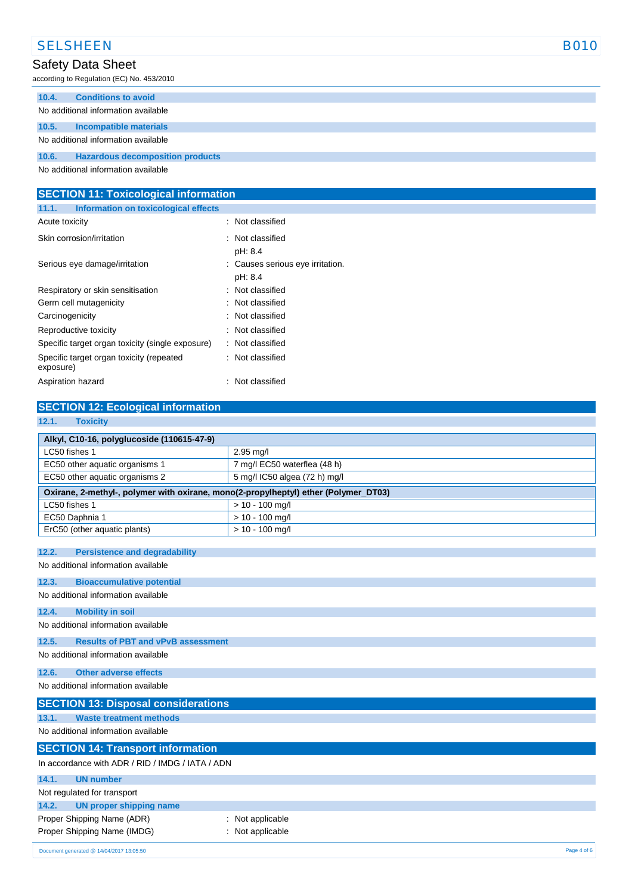|       | <b>SELSHEEN</b>                           | <b>B010</b> |
|-------|-------------------------------------------|-------------|
|       | Safety Data Sheet                         |             |
|       | according to Regulation (EC) No. 453/2010 |             |
| 10.4. | <b>Conditions to avoid</b>                |             |
|       | No additional information available       |             |
| 10.5. | Incompatible materials                    |             |
|       | No additional information available       |             |
| 10.6. | <b>Hazardous decomposition products</b>   |             |
|       |                                           |             |

No additional information available

| <b>SECTION 11: Toxicological information</b>          |                                             |  |
|-------------------------------------------------------|---------------------------------------------|--|
| Information on toxicological effects<br>11.1.         |                                             |  |
| Acute toxicity                                        | : Not classified                            |  |
| Skin corrosion/irritation                             | : Not classified<br>pH: 8.4                 |  |
| Serious eye damage/irritation                         | : Causes serious eye irritation.<br>pH: 8.4 |  |
| Respiratory or skin sensitisation                     | : Not classified                            |  |
| Germ cell mutagenicity                                | : Not classified                            |  |
| Carcinogenicity                                       | : Not classified                            |  |
| Reproductive toxicity                                 | : Not classified                            |  |
| Specific target organ toxicity (single exposure)      | : Not classified                            |  |
| Specific target organ toxicity (repeated<br>exposure) | : Not classified                            |  |
| Aspiration hazard                                     | : Not classified                            |  |

# **SECTION 12: Ecological information**

| 12.1.<br><b>Toxicity</b>                                                            |                               |  |  |
|-------------------------------------------------------------------------------------|-------------------------------|--|--|
| Alkyl, C10-16, polyglucoside (110615-47-9)                                          |                               |  |  |
| LC50 fishes 1                                                                       | 2.95 mg/l                     |  |  |
| EC50 other aquatic organisms 1                                                      | 7 mg/l EC50 waterflea (48 h)  |  |  |
| EC50 other aquatic organisms 2                                                      | 5 mg/l IC50 algea (72 h) mg/l |  |  |
| Oxirane, 2-methyl-, polymer with oxirane, mono(2-propylheptyl) ether (Polymer_DT03) |                               |  |  |
| LC50 fishes 1                                                                       | $> 10 - 100$ mg/l             |  |  |
| EC50 Daphnia 1                                                                      | $> 10 - 100$ mg/l             |  |  |
| ErC50 (other aquatic plants)                                                        | $> 10 - 100$ mg/l             |  |  |
| 12.2.<br><b>Persistence and degradability</b>                                       |                               |  |  |
| No additional information available                                                 |                               |  |  |
| 12.3.                                                                               |                               |  |  |
| <b>Bioaccumulative potential</b><br>No additional information available             |                               |  |  |
|                                                                                     |                               |  |  |
| 12.4.<br><b>Mobility in soil</b>                                                    |                               |  |  |
| No additional information available                                                 |                               |  |  |
| 12.5.<br><b>Results of PBT and vPvB assessment</b>                                  |                               |  |  |
| No additional information available                                                 |                               |  |  |
| <b>Other adverse effects</b><br>12.6.                                               |                               |  |  |
| No additional information available                                                 |                               |  |  |
| <b>SECTION 13: Disposal considerations</b>                                          |                               |  |  |
| 13.1.<br><b>Waste treatment methods</b>                                             |                               |  |  |
| No additional information available                                                 |                               |  |  |
|                                                                                     |                               |  |  |
| <b>SECTION 14: Transport information</b>                                            |                               |  |  |
| In accordance with ADR / RID / IMDG / IATA / ADN                                    |                               |  |  |
| 14.1.<br><b>UN number</b>                                                           |                               |  |  |
| Not regulated for transport                                                         |                               |  |  |
| <b>UN proper shipping name</b><br>14.2.                                             |                               |  |  |
| Proper Shipping Name (ADR)                                                          | Not applicable                |  |  |
| Proper Shipping Name (IMDG)                                                         | Not applicable                |  |  |
| Document generated @ 14/04/2017 13:05:50                                            | Page 4 of 6                   |  |  |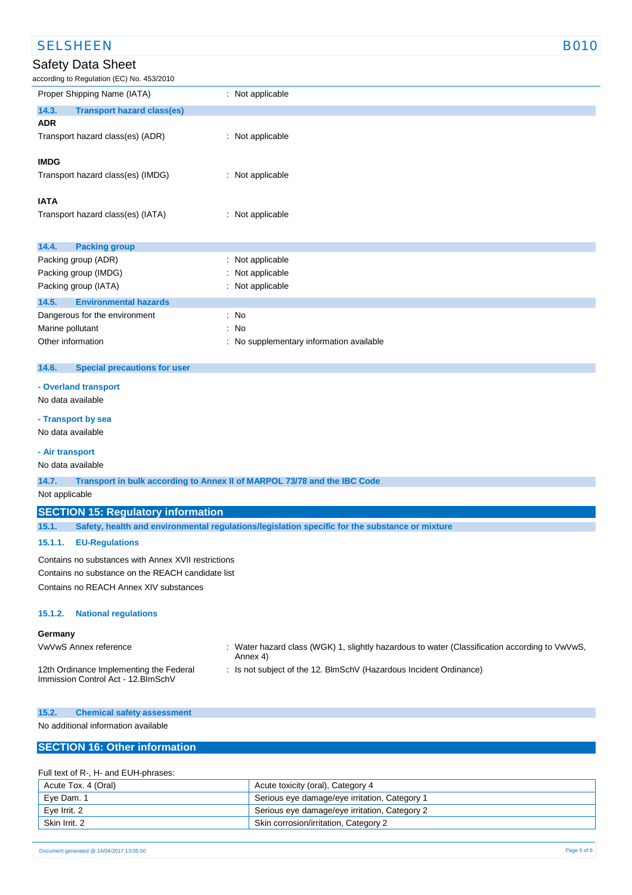| <b>SELSHEEN</b>                                     | <b>B010</b>                                                                                    |  |  |
|-----------------------------------------------------|------------------------------------------------------------------------------------------------|--|--|
| <b>Safety Data Sheet</b>                            |                                                                                                |  |  |
| according to Regulation (EC) No. 453/2010           |                                                                                                |  |  |
| Proper Shipping Name (IATA)                         | : Not applicable                                                                               |  |  |
| 14.3.<br><b>Transport hazard class(es)</b>          |                                                                                                |  |  |
| <b>ADR</b>                                          |                                                                                                |  |  |
| Transport hazard class(es) (ADR)                    | : Not applicable                                                                               |  |  |
| <b>IMDG</b>                                         |                                                                                                |  |  |
| Transport hazard class(es) (IMDG)                   | : Not applicable                                                                               |  |  |
| <b>IATA</b>                                         |                                                                                                |  |  |
| Transport hazard class(es) (IATA)                   | : Not applicable                                                                               |  |  |
|                                                     |                                                                                                |  |  |
| 14.4.<br><b>Packing group</b>                       |                                                                                                |  |  |
| Packing group (ADR)                                 | Not applicable<br>÷                                                                            |  |  |
| Packing group (IMDG)                                | Not applicable                                                                                 |  |  |
| Packing group (IATA)                                | Not applicable                                                                                 |  |  |
| 14.5.<br><b>Environmental hazards</b>               |                                                                                                |  |  |
| Dangerous for the environment                       | $:$ No                                                                                         |  |  |
| Marine pollutant                                    | No<br>÷                                                                                        |  |  |
| Other information                                   | No supplementary information available<br>÷                                                    |  |  |
| 14.6.<br><b>Special precautions for user</b>        |                                                                                                |  |  |
| - Overland transport                                |                                                                                                |  |  |
| No data available                                   |                                                                                                |  |  |
|                                                     |                                                                                                |  |  |
| - Transport by sea<br>No data available             |                                                                                                |  |  |
|                                                     |                                                                                                |  |  |
| - Air transport                                     |                                                                                                |  |  |
| No data available                                   |                                                                                                |  |  |
| 14.7.<br>Not applicable                             | Transport in bulk according to Annex II of MARPOL 73/78 and the IBC Code                       |  |  |
|                                                     |                                                                                                |  |  |
| <b>SECTION 15: Regulatory information</b>           |                                                                                                |  |  |
| 15.1.                                               | Safety, health and environmental regulations/legislation specific for the substance or mixture |  |  |
| 15.1.1.<br><b>EU-Regulations</b>                    |                                                                                                |  |  |
| Contains no substances with Annex XVII restrictions |                                                                                                |  |  |
| Contains no substance on the REACH candidate list   |                                                                                                |  |  |
| Contains no REACH Annex XIV substances              |                                                                                                |  |  |
|                                                     |                                                                                                |  |  |

#### **15.1.2. National regulations**

#### **Germany**

- VwVwS Annex reference : Water hazard class (WGK) 1, slightly hazardous to water (Classification according to VwVwS, Annex 4)
- 12th Ordinance Implementing the Federal Immission Control Act - 12.BImSchV
- : Is not subject of the 12. BlmSchV (Hazardous Incident Ordinance)

#### **15.2. Chemical safety assessment**

No additional information available

### **SECTION 16: Other information**

#### Full text of R-, H- and EUH-phrases:

| Acute Tox. 4 (Oral) | Acute toxicity (oral), Category 4             |
|---------------------|-----------------------------------------------|
| Eve Dam. 1          | Serious eye damage/eye irritation, Category 1 |
| Eve Irrit, 2        | Serious eye damage/eye irritation, Category 2 |
| Skin Irrit. 2       | Skin corrosion/irritation, Category 2         |